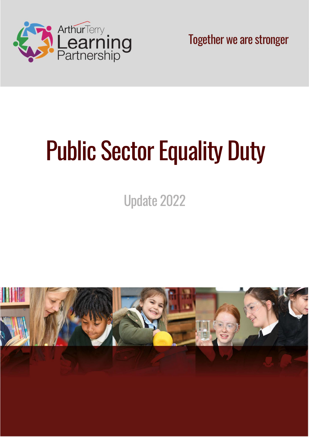

Together we are stronger

# Public Sector Equality Duty

Update 2022

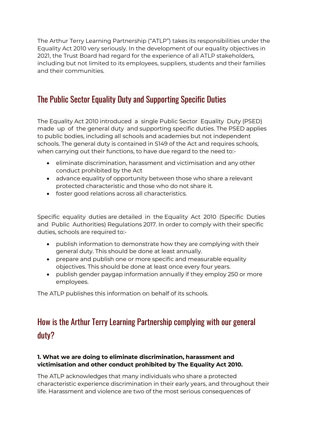The Arthur Terry Learning Partnership ("ATLP") takes its responsibilities under the Equality Act 2010 very seriously. In the development of our equality objectives in 2021, the Trust Board had regard for the experience of all ATLP stakeholders, including but not limited to its employees, suppliers, students and their families and their communities.

### The Public Sector Equality Duty and Supporting Specific Duties

The Equality Act 2010 introduced a single Public Sector Equality Duty (PSED) made up of the general duty and supporting specific duties. The PSED applies to public bodies, including all schools and academies but not independent schools. The general duty is contained in S149 of the Act and requires schools, when carrying out their functions, to have due regard to the need to:-

- eliminate discrimination, harassment and victimisation and any other conduct prohibited by the Act
- advance equality of opportunity between those who share a relevant protected characteristic and those who do not share it.
- foster good relations across all characteristics.

Specific equality duties are detailed in the Equality Act 2010 (Specific Duties and Public Authorities) Regulations 2017. In order to comply with their specific duties, schools are required to:-

- publish information to demonstrate how they are complying with their general duty. This should be done at least annually.
- prepare and publish one or more specific and measurable equality objectives. This should be done at least once every four years.
- publish gender paygap information annually if they employ 250 or more employees.

The ATLP publishes this information on behalf of its schools.

# How is the Arthur Terry Learning Partnership complying with our general duty?

#### 1. What we are doing to eliminate discrimination, harassment and victimisation and other conduct prohibited by The Equality Act 2010.

The ATLP acknowledges that many individuals who share a protected characteristic experience discrimination in their early years, and throughout their life. Harassment and violence are two of the most serious consequences of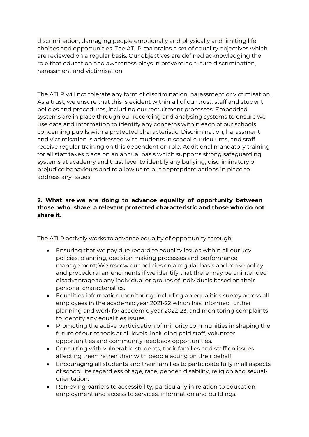discrimination, damaging people emotionally and physically and limiting life choices and opportunities. The ATLP maintains a set of equality objectives which are reviewed on a regular basis. Our objectives are defined acknowledging the role that education and awareness plays in preventing future discrimination, harassment and victimisation.

The ATLP will not tolerate any form of discrimination, harassment or victimisation. As a trust, we ensure that this is evident within all of our trust, staff and student policies and procedures, including our recruitment processes. Embedded systems are in place through our recording and analysing systems to ensure we use data and information to identify any concerns within each of our schools concerning pupils with a protected characteristic. Discrimination, harassment and victimisation is addressed with students in school curriculums, and staff receive regular training on this dependent on role. Additional mandatory training for all staff takes place on an annual basis which supports strong safeguarding systems at academy and trust level to identify any bullying, discriminatory or prejudice behaviours and to allow us to put appropriate actions in place to address any issues.

#### 2. What are we are doing to advance equality of opportunity between those who share a relevant protected characteristic and those who do not share it.

The ATLP actively works to advance equality of opportunity through:

- Ensuring that we pay due regard to equality issues within all our key policies, planning, decision making processes and performance management; We review our policies on a regular basis and make policy and procedural amendments if we identify that there may be unintended disadvantage to any individual or groups of individuals based on their personal characteristics.
- Equalities information monitoring; including an equalities survey across all employees in the academic year 2021-22 which has informed further planning and work for academic year 2022-23, and monitoring complaints to identify any equalities issues.
- Promoting the active participation of minority communities in shaping the future of our schools at all levels, including paid staff, volunteer opportunities and community feedback opportunities.
- Consulting with vulnerable students, their families and staff on issues affecting them rather than with people acting on their behalf.
- Encouraging all students and their families to participate fully in all aspects of school life regardless of age, race, gender, disability, religion and sexualorientation.
- Removing barriers to accessibility, particularly in relation to education, employment and access to services, information and buildings.